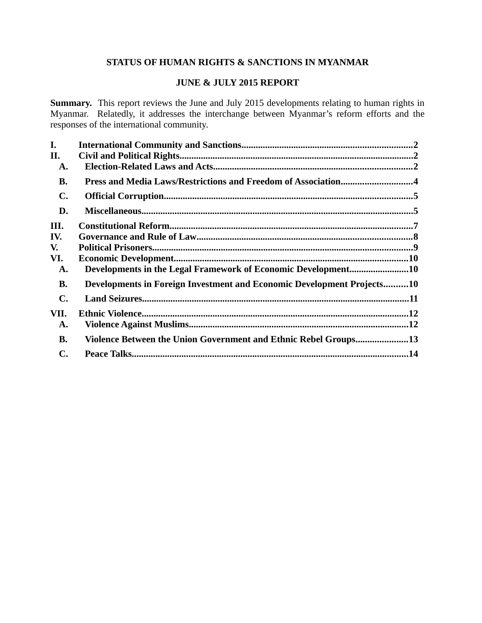# **STATUS OF HUMAN RIGHTS & SANCTIONS IN MYANMAR**

# **JUNE & JULY 2015 REPORT**

**Summary.** This report reviews the June and July 2015 developments relating to human rights in Myanmar. Relatedly, it addresses the interchange between Myanmar's reform efforts and the responses of the international community.

| I.             |                                                                        |  |
|----------------|------------------------------------------------------------------------|--|
| П.             |                                                                        |  |
| A.             |                                                                        |  |
| <b>B.</b>      |                                                                        |  |
| $\mathbf{C}$ . |                                                                        |  |
| D.             |                                                                        |  |
| III.           |                                                                        |  |
| IV.            |                                                                        |  |
| V.             |                                                                        |  |
| VI.            |                                                                        |  |
| A.             | Developments in the Legal Framework of Economic Development10          |  |
| <b>B.</b>      | Developments in Foreign Investment and Economic Development Projects10 |  |
| $\mathbf{C}$ . |                                                                        |  |
| VII.           |                                                                        |  |
| A.             |                                                                        |  |
| <b>B.</b>      | Violence Between the Union Government and Ethnic Rebel Groups13        |  |
| C.             |                                                                        |  |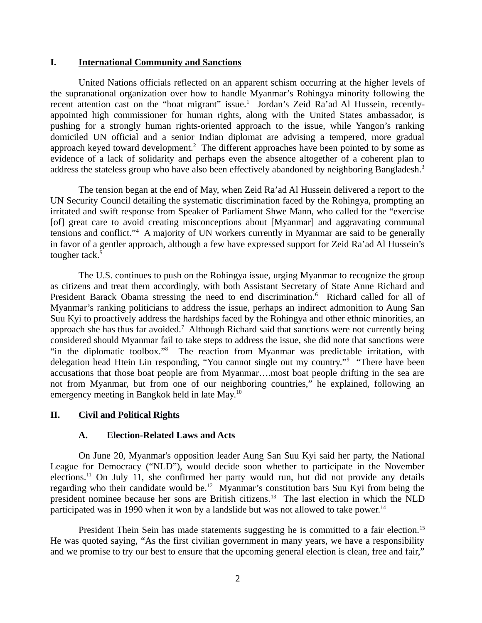### <span id="page-1-0"></span>**I. International Community and Sanctions**

United Nations officials reflected on an apparent schism occurring at the higher levels of the supranational organization over how to handle Myanmar's Rohingya minority following the recent attention cast on the "boat migrant" issue.<sup>1</sup> Jordan's Zeid Ra'ad Al Hussein, recentlyappointed high commissioner for human rights, along with the United States ambassador, is pushing for a strongly human rights-oriented approach to the issue, while Yangon's ranking domiciled UN official and a senior Indian diplomat are advising a tempered, more gradual approach keyed toward development.<sup>2</sup> The different approaches have been pointed to by some as evidence of a lack of solidarity and perhaps even the absence altogether of a coherent plan to address the stateless group who have also been effectively abandoned by neighboring Bangladesh.<sup>3</sup>

The tension began at the end of May, when Zeid Ra'ad Al Hussein delivered a report to the UN Security Council detailing the systematic discrimination faced by the Rohingya, prompting an irritated and swift response from Speaker of Parliament Shwe Mann, who called for the "exercise [of] great care to avoid creating misconceptions about [Myanmar] and aggravating communal tensions and conflict."<sup>4</sup> A majority of UN workers currently in Myanmar are said to be generally in favor of a gentler approach, although a few have expressed support for Zeid Ra'ad Al Hussein's tougher tack.<sup>5</sup>

The U.S. continues to push on the Rohingya issue, urging Myanmar to recognize the group as citizens and treat them accordingly, with both Assistant Secretary of State Anne Richard and President Barack Obama stressing the need to end discrimination.<sup>6</sup> Richard called for all of Myanmar's ranking politicians to address the issue, perhaps an indirect admonition to Aung San Suu Kyi to proactively address the hardships faced by the Rohingya and other ethnic minorities, an approach she has thus far avoided.<sup>7</sup> Although Richard said that sanctions were not currently being considered should Myanmar fail to take steps to address the issue, she did note that sanctions were "in the diplomatic toolbox."<sup>8</sup> The reaction from Myanmar was predictable irritation, with delegation head Htein Lin responding, "You cannot single out my country."<sup>9</sup> "There have been accusations that those boat people are from Myanmar….most boat people drifting in the sea are not from Myanmar, but from one of our neighboring countries," he explained, following an emergency meeting in Bangkok held in late May.<sup>10</sup>

### **II. Civil and Political Rights**

#### <span id="page-1-2"></span><span id="page-1-1"></span>**A. Election-Related Laws and Acts**

On June 20, Myanmar's opposition leader Aung San Suu Kyi said her party, the National League for Democracy ("NLD"), would decide soon whether to participate in the November elections.<sup>11</sup> On July 11, she confirmed her party would run, but did not provide any details regarding who their candidate would be.<sup>12</sup> Myanmar's constitution bars Suu Kyi from being the president nominee because her sons are British citizens.<sup>13</sup> The last election in which the NLD participated was in 1990 when it won by a landslide but was not allowed to take power.<sup>14</sup>

President Thein Sein has made statements suggesting he is committed to a fair election.<sup>15</sup> He was quoted saying, "As the first civilian government in many years, we have a responsibility and we promise to try our best to ensure that the upcoming general election is clean, free and fair,"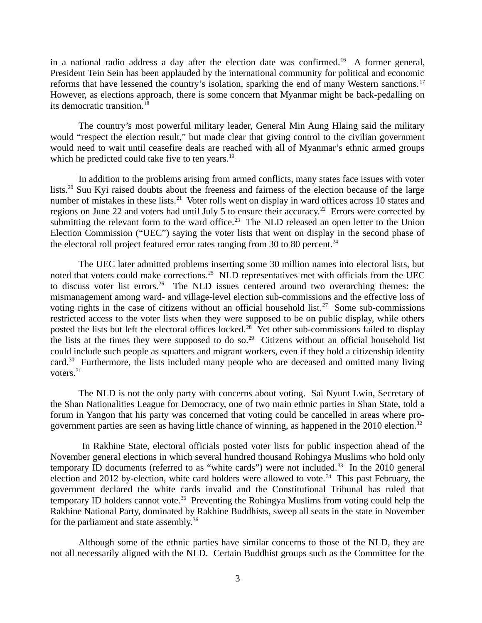in a national radio address a day after the election date was confirmed.<sup>16</sup> A former general, President Tein Sein has been applauded by the international community for political and economic reforms that have lessened the country's isolation, sparking the end of many Western sanctions.<sup>17</sup> However, as elections approach, there is some concern that Myanmar might be back-pedalling on its democratic transition.<sup>18</sup>

The country's most powerful military leader, General Min Aung Hlaing said the military would "respect the election result," but made clear that giving control to the civilian government would need to wait until ceasefire deals are reached with all of Myanmar's ethnic armed groups which he predicted could take five to ten years.<sup>19</sup>

In addition to the problems arising from armed conflicts, many states face issues with voter lists.<sup>20</sup> Suu Kyi raised doubts about the freeness and fairness of the election because of the large number of mistakes in these lists.<sup>21</sup> Voter rolls went on display in ward offices across 10 states and regions on June 22 and voters had until July 5 to ensure their accuracy.<sup>22</sup> Errors were corrected by submitting the relevant form to the ward office.<sup>23</sup> The NLD released an open letter to the Union Election Commission ("UEC") saying the voter lists that went on display in the second phase of the electoral roll project featured error rates ranging from 30 to 80 percent.<sup>24</sup>

The UEC later admitted problems inserting some 30 million names into electoral lists, but noted that voters could make corrections.<sup>25</sup> NLD representatives met with officials from the UEC to discuss voter list errors.<sup>26</sup> The NLD issues centered around two overarching themes: the mismanagement among ward- and village-level election sub-commissions and the effective loss of voting rights in the case of citizens without an official household list.<sup>27</sup> Some sub-commissions restricted access to the voter lists when they were supposed to be on public display, while others posted the lists but left the electoral offices locked.<sup>28</sup> Yet other sub-commissions failed to display the lists at the times they were supposed to do so.<sup>29</sup> Citizens without an official household list could include such people as squatters and migrant workers, even if they hold a citizenship identity card.<sup>30</sup> Furthermore, the lists included many people who are deceased and omitted many living voters. $31$ 

The NLD is not the only party with concerns about voting. Sai Nyunt Lwin, Secretary of the Shan Nationalities League for Democracy, one of two main ethnic parties in Shan State, told a forum in Yangon that his party was concerned that voting could be cancelled in areas where progovernment parties are seen as having little chance of winning, as happened in the 2010 election.<sup>32</sup>

 In Rakhine State, electoral officials posted voter lists for public inspection ahead of the November general elections in which several hundred thousand Rohingya Muslims who hold only temporary ID documents (referred to as "white cards") were not included. $33$  In the 2010 general election and 2012 by-election, white card holders were allowed to vote.<sup>34</sup> This past February, the government declared the white cards invalid and the Constitutional Tribunal has ruled that  $\epsilon$  temporary ID holders cannot vote.<sup>35</sup> Preventing the Rohingya Muslims from voting could help the Rakhine National Party, dominated by Rakhine Buddhists, sweep all seats in the state in November for the parliament and state assembly.<sup>36</sup>

Although some of the ethnic parties have similar concerns to those of the NLD, they are not all necessarily aligned with the NLD. Certain Buddhist groups such as the Committee for the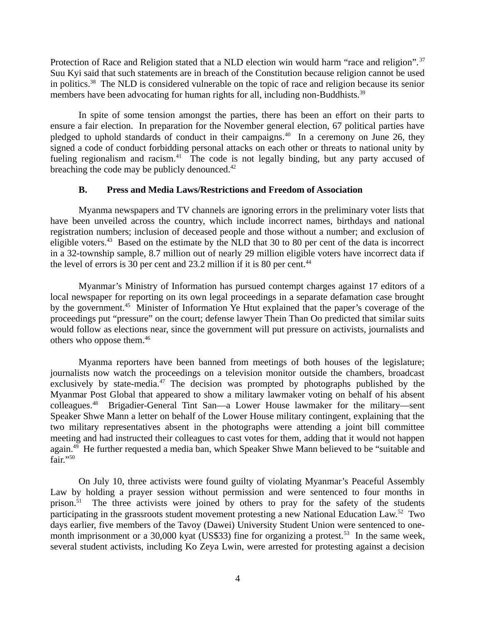Protection of Race and Religion stated that a NLD election win would harm "race and religion".<sup>37</sup> Suu Kyi said that such statements are in breach of the Constitution because religion cannot be used in politics.<sup>38</sup> The NLD is considered vulnerable on the topic of race and religion because its senior members have been advocating for human rights for all, including non-Buddhists.<sup>39</sup>

In spite of some tension amongst the parties, there has been an effort on their parts to ensure a fair election. In preparation for the November general election, 67 political parties have pledged to uphold standards of conduct in their campaigns.<sup>40</sup> In a ceremony on June 26, they signed a code of conduct forbidding personal attacks on each other or threats to national unity by fueling regionalism and racism. $41$  The code is not legally binding, but any party accused of breaching the code may be publicly denounced. $42$ 

# <span id="page-3-0"></span>**B. Press and Media Laws/Restrictions and Freedom of Association**

Myanma newspapers and TV channels are ignoring errors in the preliminary voter lists that have been unveiled across the country, which include incorrect names, birthdays and national registration numbers; inclusion of deceased people and those without a number; and exclusion of eligible voters.<sup>43</sup> Based on the estimate by the NLD that 30 to 80 per cent of the data is incorrect in a 32-township sample, 8.7 million out of nearly 29 million eligible voters have incorrect data if the level of errors is 30 per cent and 23.2 million if it is 80 per cent.<sup>44</sup>

Myanmar's Ministry of Information has pursued contempt charges against 17 editors of a local newspaper for reporting on its own legal proceedings in a separate defamation case brought by the government.<sup>45</sup> Minister of Information Ye Htut explained that the paper's coverage of the proceedings put "pressure" on the court; defense lawyer Thein Than Oo predicted that similar suits would follow as elections near, since the government will put pressure on activists, journalists and others who oppose them.<sup>46</sup>

Myanma reporters have been banned from meetings of both houses of the legislature; journalists now watch the proceedings on a television monitor outside the chambers, broadcast exclusively by state-media. $47$  The decision was prompted by photographs published by the Myanmar Post Global that appeared to show a military lawmaker voting on behalf of his absent colleagues.<sup>48</sup> Brigadier-General Tint San—a Lower House lawmaker for the military—sent Speaker Shwe Mann a letter on behalf of the Lower House military contingent, explaining that the two military representatives absent in the photographs were attending a joint bill committee meeting and had instructed their colleagues to cast votes for them, adding that it would not happen again.<sup>49</sup> He further requested a media ban, which Speaker Shwe Mann believed to be "suitable and  $fair. "50"$ 

On July 10, three activists were found guilty of violating Myanmar's Peaceful Assembly Law by holding a prayer session without permission and were sentenced to four months in prison.<sup>51</sup> The three activists were joined by others to pray for the safety of the students participating in the grassroots student movement protesting a new National Education Law.<sup>52</sup> Two days earlier, five members of the Tavoy (Dawei) University Student Union were sentenced to onemonth imprisonment or a 30,000 kyat (US\$33) fine for organizing a protest.<sup>53</sup> In the same week, several student activists, including Ko Zeya Lwin, were arrested for protesting against a decision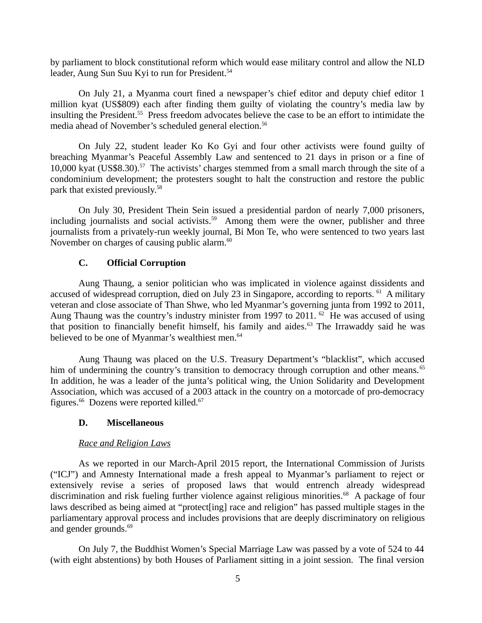by parliament to block constitutional reform which would ease military control and allow the NLD leader, Aung Sun Suu Kyi to run for President.<sup>54</sup>

On July 21, a Myanma court fined a newspaper's chief editor and deputy chief editor 1 million kyat (US\$809) each after finding them guilty of violating the country's media law by insulting the President.<sup>55</sup> Press freedom advocates believe the case to be an effort to intimidate the media ahead of November's scheduled general election.<sup>56</sup>

On July 22, student leader Ko Ko Gyi and four other activists were found guilty of breaching Myanmar's Peaceful Assembly Law and sentenced to 21 days in prison or a fine of 10,000 kyat (US\$8.30).<sup>57</sup> The activists' charges stemmed from a small march through the site of a condominium development; the protesters sought to halt the construction and restore the public park that existed previously.<sup>58</sup>

On July 30, President Thein Sein issued a presidential pardon of nearly 7,000 prisoners, including journalists and social activists.<sup>59</sup> Among them were the owner, publisher and three journalists from a privately-run weekly journal, Bi Mon Te, who were sentenced to two years last November on charges of causing public alarm.<sup>60</sup>

# <span id="page-4-1"></span>**C. Official Corruption**

Aung Thaung, a senior politician who was implicated in violence against dissidents and accused of widespread corruption, died on July 23 in Singapore, according to reports.  $61$  A military veteran and close associate of Than Shwe, who led Myanmar's governing junta from 1992 to 2011, Aung Thaung was the country's industry minister from 1997 to 2011.  $62$  He was accused of using that position to financially benefit himself, his family and aides.<sup>63</sup> The Irrawaddy said he was believed to be one of Myanmar's wealthiest men.<sup>64</sup>

Aung Thaung was placed on the U.S. Treasury Department's "blacklist", which accused him of undermining the country's transition to democracy through corruption and other means.<sup>65</sup> In addition, he was a leader of the junta's political wing, the Union Solidarity and Development Association, which was accused of a 2003 attack in the country on a motorcade of pro-democracy figures. $^{66}$  Dozens were reported killed. $^{67}$ 

# <span id="page-4-0"></span>**D. Miscellaneous**

# *Race and Religion Laws*

As we reported in our March-April 2015 report, the International Commission of Jurists ("ICJ") and Amnesty International made a fresh appeal to Myanmar's parliament to reject or extensively revise a series of proposed laws that would entrench already widespread discrimination and risk fueling further violence against religious minorities.<sup>68</sup> A package of four laws described as being aimed at "protect[ing] race and religion" has passed multiple stages in the parliamentary approval process and includes provisions that are deeply discriminatory on religious and gender grounds. $69$ 

On July 7, the Buddhist Women's Special Marriage Law was passed by a vote of 524 to 44 (with eight abstentions) by both Houses of Parliament sitting in a joint session. The final version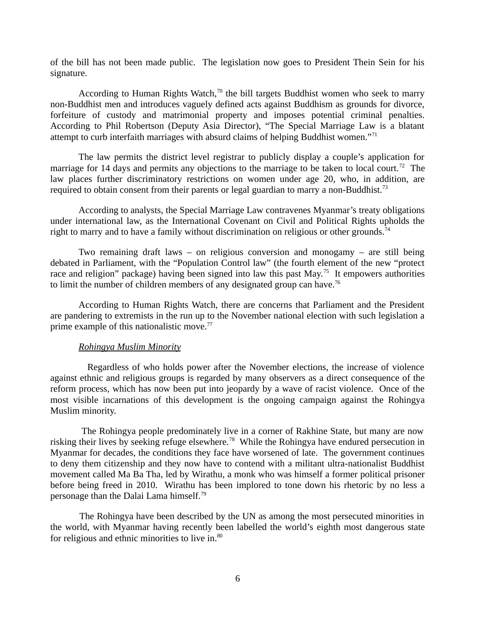of the bill has not been made public. The legislation now goes to President Thein Sein for his signature.

According to Human Rights Watch, $70$  the bill targets Buddhist women who seek to marry non-Buddhist men and introduces vaguely defined acts against Buddhism as grounds for divorce, forfeiture of custody and matrimonial property and imposes potential criminal penalties. According to Phil Robertson (Deputy Asia Director), "The Special Marriage Law is a blatant attempt to curb interfaith marriages with absurd claims of helping Buddhist women."<sup>71</sup>

The law permits the district level registrar to publicly display a couple's application for marriage for 14 days and permits any objections to the marriage to be taken to local court.<sup>72</sup> The law places further discriminatory restrictions on women under age 20, who, in addition, are required to obtain consent from their parents or legal guardian to marry a non-Buddhist.<sup>73</sup>

According to analysts, the Special Marriage Law contravenes Myanmar's treaty obligations under international law, as the International Covenant on Civil and Political Rights upholds the right to marry and to have a family without discrimination on religious or other grounds.<sup>74</sup>

Two remaining draft laws – on religious conversion and monogamy – are still being debated in Parliament, with the "Population Control law" (the fourth element of the new "protect race and religion" package) having been signed into law this past May.<sup>75</sup> It empowers authorities to limit the number of children members of any designated group can have.<sup>76</sup>

According to Human Rights Watch, there are concerns that Parliament and the President are pandering to extremists in the run up to the November national election with such legislation a prime example of this nationalistic move.<sup>77</sup>

#### *Rohingya Muslim Minority*

 Regardless of who holds power after the November elections, the increase of violence against ethnic and religious groups is regarded by many observers as a direct consequence of the reform process, which has now been put into jeopardy by a wave of racist violence. Once of the most visible incarnations of this development is the ongoing campaign against the Rohingya Muslim minority.

 The Rohingya people predominately live in a corner of Rakhine State, but many are now risking their lives by seeking refuge elsewhere.<sup>78</sup> While the Rohingya have endured persecution in Myanmar for decades, the conditions they face have worsened of late. The government continues to deny them citizenship and they now have to contend with a militant ultra-nationalist Buddhist movement called Ma Ba Tha, led by Wirathu, a monk who was himself a former political prisoner before being freed in 2010. Wirathu has been implored to tone down his rhetoric by no less a personage than the Dalai Lama himself.<sup>79</sup>

 The Rohingya have been described by the UN as among the most persecuted minorities in the world, with Myanmar having recently been labelled the world's eighth most dangerous state for religious and ethnic minorities to live in. $80$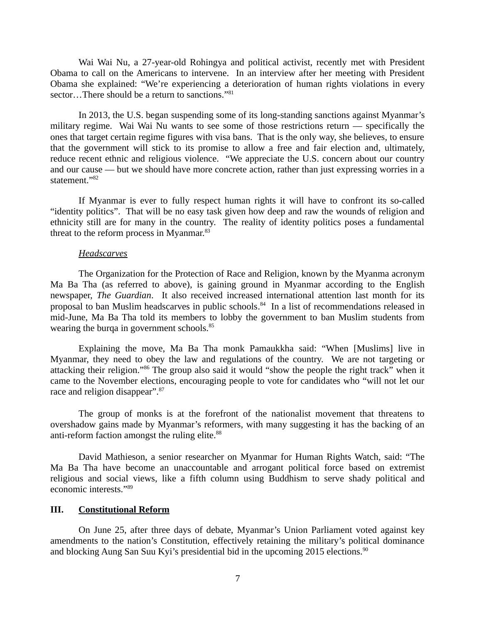Wai Wai Nu, a 27-year-old Rohingya and political activist, recently met with President Obama to call on the Americans to intervene. In an interview after her meeting with President Obama she explained: "We're experiencing a deterioration of human rights violations in every sector...There should be a return to sanctions."<sup>81</sup>

In 2013, the U.S. began suspending some of its long-standing sanctions against Myanmar's military regime. Wai Wai Nu wants to see some of those restrictions return — specifically the ones that target certain regime figures with visa bans. That is the only way, she believes, to ensure that the government will stick to its promise to allow a free and fair election and, ultimately, reduce recent ethnic and religious violence. "We appreciate the U.S. concern about our country and our cause — but we should have more concrete action, rather than just expressing worries in a statement."<sup>82</sup>

If Myanmar is ever to fully respect human rights it will have to confront its so-called "identity politics". That will be no easy task given how deep and raw the wounds of religion and ethnicity still are for many in the country. The reality of identity politics poses a fundamental threat to the reform process in Myanmar.<sup>83</sup>

#### *Headscarves*

The Organization for the Protection of Race and Religion, known by the Myanma acronym Ma Ba Tha (as referred to above), is gaining ground in Myanmar according to the English newspaper, *The Guardian*. It also received increased international attention last month for its proposal to ban Muslim headscarves in public schools. <sup>84</sup> In a list of recommendations released in mid-June, Ma Ba Tha told its members to lobby the government to ban Muslim students from wearing the burqa in government schools.<sup>85</sup>

Explaining the move, Ma Ba Tha monk Pamaukkha said: "When [Muslims] live in Myanmar, they need to obey the law and regulations of the country. We are not targeting or attacking their religion."<sup>86</sup> The group also said it would "show the people the right track" when it came to the November elections, encouraging people to vote for candidates who "will not let our race and religion disappear".<sup>87</sup>

The group of monks is at the forefront of the nationalist movement that threatens to overshadow gains made by Myanmar's reformers, with many suggesting it has the backing of an anti-reform faction amongst the ruling elite.<sup>88</sup>

David Mathieson, a senior researcher on Myanmar for Human Rights Watch, said: "The Ma Ba Tha have become an unaccountable and arrogant political force based on extremist religious and social views, like a fifth column using Buddhism to serve shady political and economic interests."<sup>89</sup>

#### <span id="page-6-0"></span>**III. Constitutional Reform**

On June 25, after three days of debate, Myanmar's Union Parliament voted against key amendments to the nation's Constitution, effectively retaining the military's political dominance and blocking Aung San Suu Kyi's presidential bid in the upcoming 2015 elections. $90$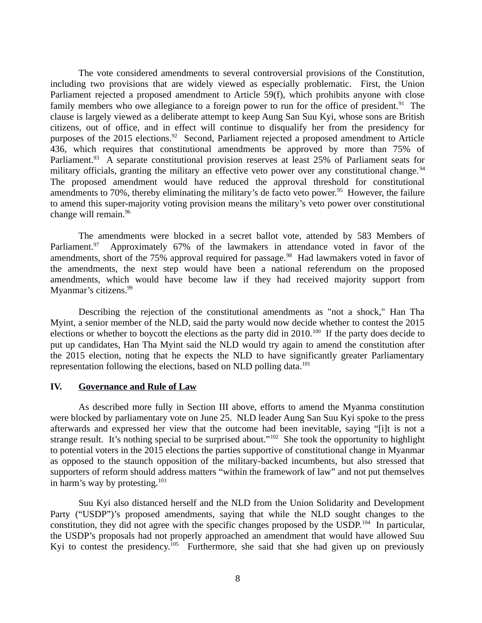The vote considered amendments to several controversial provisions of the Constitution, including two provisions that are widely viewed as especially problematic. First, the Union Parliament rejected a proposed amendment to Article 59(f), which prohibits anyone with close family members who owe allegiance to a foreign power to run for the office of president.<sup>91</sup> The clause is largely viewed as a deliberate attempt to keep Aung San Suu Kyi, whose sons are British citizens, out of office, and in effect will continue to disqualify her from the presidency for purposes of the 2015 elections.<sup>92</sup> Second, Parliament rejected a proposed amendment to Article 436, which requires that constitutional amendments be approved by more than 75% of Parliament.<sup>93</sup> A separate constitutional provision reserves at least 25% of Parliament seats for military officials, granting the military an effective veto power over any constitutional change.<sup>94</sup> The proposed amendment would have reduced the approval threshold for constitutional amendments to 70%, thereby eliminating the military's de facto veto power.<sup>95</sup> However, the failure to amend this super-majority voting provision means the military's veto power over constitutional change will remain.<sup>96</sup>

The amendments were blocked in a secret ballot vote, attended by 583 Members of Parliament.<sup>97</sup> Approximately 67% of the lawmakers in attendance voted in favor of the amendments, short of the 75% approval required for passage.<sup>98</sup> Had lawmakers voted in favor of the amendments, the next step would have been a national referendum on the proposed amendments, which would have become law if they had received majority support from Myanmar's citizens.<sup>99</sup>

Describing the rejection of the constitutional amendments as "not a shock," Han Tha Myint, a senior member of the NLD, said the party would now decide whether to contest the 2015 elections or whether to boycott the elections as the party did in 2010.<sup>100</sup> If the party does decide to put up candidates, Han Tha Myint said the NLD would try again to amend the constitution after the 2015 election, noting that he expects the NLD to have significantly greater Parliamentary representation following the elections, based on NLD polling data.<sup>101</sup>

# <span id="page-7-0"></span>**IV. Governance and Rule of Law**

As described more fully in Section III above, efforts to amend the Myanma constitution were blocked by parliamentary vote on June 25. NLD leader Aung San Suu Kyi spoke to the press afterwards and expressed her view that the outcome had been inevitable, saying "[i]t is not a strange result. It's nothing special to be surprised about."<sup>102</sup> She took the opportunity to highlight to potential voters in the 2015 elections the parties supportive of constitutional change in Myanmar as opposed to the staunch opposition of the military-backed incumbents, but also stressed that supporters of reform should address matters "within the framework of law" and not put themselves in harm's way by protesting. $103$ 

Suu Kyi also distanced herself and the NLD from the Union Solidarity and Development Party ("USDP")'s proposed amendments, saying that while the NLD sought changes to the constitution, they did not agree with the specific changes proposed by the USDP.<sup>104</sup> In particular, the USDP's proposals had not properly approached an amendment that would have allowed Suu Kyi to contest the presidency.<sup>105</sup> Furthermore, she said that she had given up on previously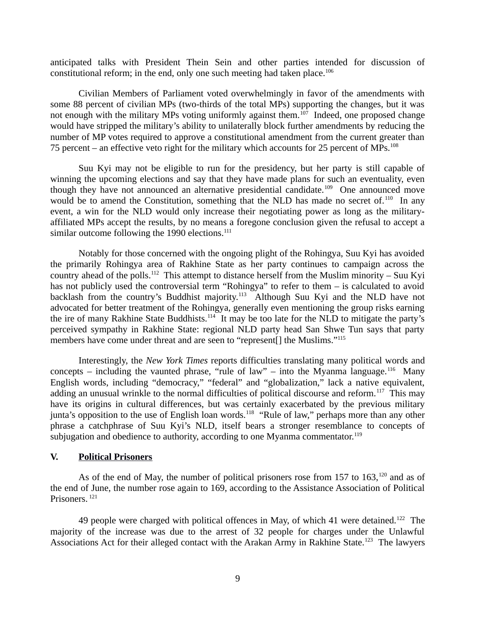anticipated talks with President Thein Sein and other parties intended for discussion of constitutional reform; in the end, only one such meeting had taken place.<sup>106</sup>

Civilian Members of Parliament voted overwhelmingly in favor of the amendments with some 88 percent of civilian MPs (two-thirds of the total MPs) supporting the changes, but it was not enough with the military MPs voting uniformly against them.<sup>107</sup> Indeed, one proposed change would have stripped the military's ability to unilaterally block further amendments by reducing the number of MP votes required to approve a constitutional amendment from the current greater than 75 percent – an effective veto right for the military which accounts for 25 percent of MPs. $^{108}$ 

Suu Kyi may not be eligible to run for the presidency, but her party is still capable of winning the upcoming elections and say that they have made plans for such an eventuality, even though they have not announced an alternative presidential candidate.<sup>109</sup> One announced move would be to amend the Constitution, something that the NLD has made no secret of.<sup>110</sup> In any event, a win for the NLD would only increase their negotiating power as long as the militaryaffiliated MPs accept the results, by no means a foregone conclusion given the refusal to accept a similar outcome following the 1990 elections.<sup>111</sup>

Notably for those concerned with the ongoing plight of the Rohingya, Suu Kyi has avoided the primarily Rohingya area of Rakhine State as her party continues to campaign across the country ahead of the polls.<sup>112</sup> This attempt to distance herself from the Muslim minority – Suu Kyi has not publicly used the controversial term "Rohingya" to refer to them – is calculated to avoid backlash from the country's Buddhist majority.<sup>113</sup> Although Suu Kyi and the NLD have not advocated for better treatment of the Rohingya, generally even mentioning the group risks earning the ire of many Rakhine State Buddhists.<sup>114</sup> It may be too late for the NLD to mitigate the party's perceived sympathy in Rakhine State: regional NLD party head San Shwe Tun says that party members have come under threat and are seen to "represent[] the Muslims."<sup>115</sup>

Interestingly, the *New York Times* reports difficulties translating many political words and concepts – including the vaunted phrase, "rule of law" – into the Myanma language.<sup>116</sup> Many English words, including "democracy," "federal" and "globalization," lack a native equivalent, adding an unusual wrinkle to the normal difficulties of political discourse and reform.<sup>117</sup> This may have its origins in cultural differences, but was certainly exacerbated by the previous military junta's opposition to the use of English loan words.<sup>118</sup> "Rule of law," perhaps more than any other phrase a catchphrase of Suu Kyi's NLD, itself bears a stronger resemblance to concepts of subjugation and obedience to authority, according to one Myanma commentator.<sup>119</sup>

#### <span id="page-8-0"></span>**V. Political Prisoners**

As of the end of May, the number of political prisoners rose from 157 to 163, $^{120}$  and as of the end of June, the number rose again to 169, according to the Assistance Association of Political Prisoners.<sup>121</sup>

49 people were charged with political offences in May, of which 41 were detained.<sup>122</sup> The majority of the increase was due to the arrest of 32 people for charges under the Unlawful Associations Act for their alleged contact with the Arakan Army in Rakhine State.<sup>123</sup> The lawyers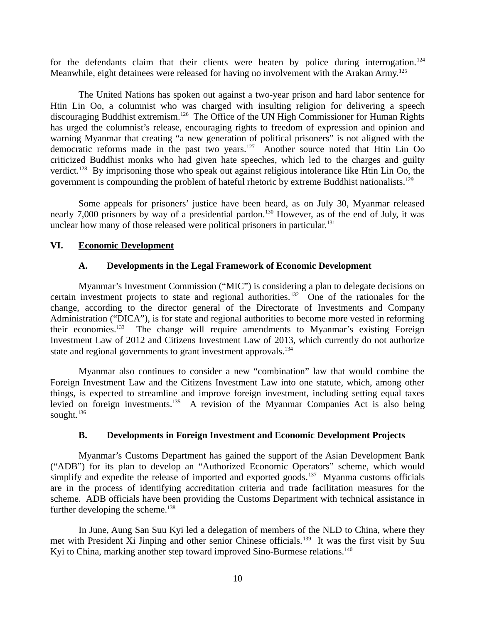for the defendants claim that their clients were beaten by police during interrogation.<sup>124</sup> Meanwhile, eight detainees were released for having no involvement with the Arakan Army.<sup>125</sup>

The United Nations has spoken out against a two-year prison and hard labor sentence for Htin Lin Oo, a columnist who was charged with insulting religion for delivering a speech discouraging Buddhist extremism.<sup>126</sup> The Office of the UN High Commissioner for Human Rights has urged the columnist's release, encouraging rights to freedom of expression and opinion and warning Myanmar that creating "a new generation of political prisoners" is not aligned with the democratic reforms made in the past two years.<sup>127</sup> Another source noted that Htin Lin Oo criticized Buddhist monks who had given hate speeches, which led to the charges and guilty verdict.<sup>128</sup> By imprisoning those who speak out against religious intolerance like Htin Lin Oo, the government is compounding the problem of hateful rhetoric by extreme Buddhist nationalists.<sup>129</sup>

Some appeals for prisoners' justice have been heard, as on July 30, Myanmar released nearly 7,000 prisoners by way of a presidential pardon.<sup>130</sup> However, as of the end of July, it was unclear how many of those released were political prisoners in particular. $131$ 

# **VI. Economic Development**

# <span id="page-9-2"></span><span id="page-9-1"></span>**A. Developments in the Legal Framework of Economic Development**

Myanmar's Investment Commission ("MIC") is considering a plan to delegate decisions on certain investment projects to state and regional authorities.<sup>132</sup> One of the rationales for the change, according to the director general of the Directorate of Investments and Company Administration ("DICA"), is for state and regional authorities to become more vested in reforming their economies.<sup>133</sup> The change will require amendments to Myanmar's existing Foreign Investment Law of 2012 and Citizens Investment Law of 2013, which currently do not authorize state and regional governments to grant investment approvals.<sup>134</sup>

Myanmar also continues to consider a new "combination" law that would combine the Foreign Investment Law and the Citizens Investment Law into one statute, which, among other things, is expected to streamline and improve foreign investment, including setting equal taxes levied on foreign investments.<sup>135</sup> A revision of the Myanmar Companies Act is also being sought.<sup>136</sup>

# <span id="page-9-0"></span>**B. Developments in Foreign Investment and Economic Development Projects**

Myanmar's Customs Department has gained the support of the Asian Development Bank ("ADB") for its plan to develop an "Authorized Economic Operators" scheme, which would simplify and expedite the release of imported and exported goods.<sup>137</sup> Myanma customs officials are in the process of identifying accreditation criteria and trade facilitation measures for the scheme. ADB officials have been providing the Customs Department with technical assistance in further developing the scheme. $138$ 

In June, Aung San Suu Kyi led a delegation of members of the NLD to China, where they met with President Xi Jinping and other senior Chinese officials.<sup>139</sup> It was the first visit by Suu Kyi to China, marking another step toward improved Sino-Burmese relations.<sup>140</sup>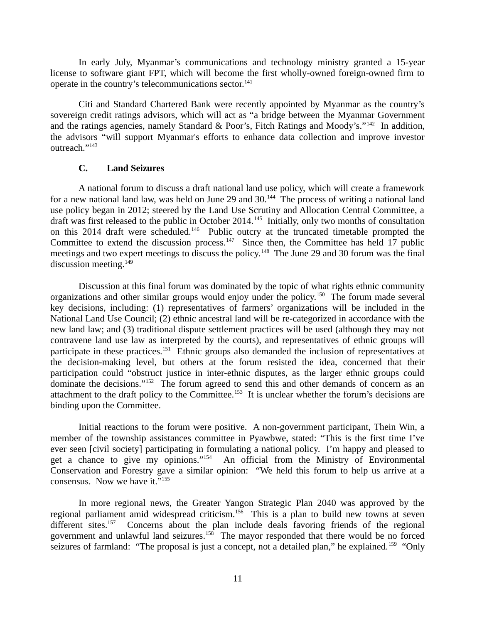In early July, Myanmar's communications and technology ministry granted a 15-year license to software giant FPT, which will become the first wholly-owned foreign-owned firm to operate in the country's telecommunications sector.<sup>141</sup>

Citi and Standard Chartered Bank were recently appointed by Myanmar as the country's sovereign credit ratings advisors, which will act as "a bridge between the Myanmar Government and the ratings agencies, namely Standard & Poor's, Fitch Ratings and Moody's."<sup>142</sup> In addition, the advisors "will support Myanmar's efforts to enhance data collection and improve investor outreach."<sup>143</sup>

#### <span id="page-10-0"></span>**C. Land Seizures**

A national forum to discuss a draft national land use policy, which will create a framework for a new national land law, was held on June 29 and  $30<sup>144</sup>$ . The process of writing a national land use policy began in 2012; steered by the Land Use Scrutiny and Allocation Central Committee, a draft was first released to the public in October 2014.<sup>145</sup> Initially, only two months of consultation on this 2014 draft were scheduled.<sup>146</sup> Public outcry at the truncated timetable prompted the Committee to extend the discussion process.<sup>147</sup> Since then, the Committee has held 17 public meetings and two expert meetings to discuss the policy.<sup>148</sup> The June 29 and 30 forum was the final discussion meeting. $149$ 

Discussion at this final forum was dominated by the topic of what rights ethnic community organizations and other similar groups would enjoy under the policy.<sup>150</sup> The forum made several key decisions, including: (1) representatives of farmers' organizations will be included in the National Land Use Council; (2) ethnic ancestral land will be re-categorized in accordance with the new land law; and (3) traditional dispute settlement practices will be used (although they may not contravene land use law as interpreted by the courts), and representatives of ethnic groups will participate in these practices.<sup>151</sup> Ethnic groups also demanded the inclusion of representatives at the decision-making level, but others at the forum resisted the idea, concerned that their participation could "obstruct justice in inter-ethnic disputes, as the larger ethnic groups could dominate the decisions."<sup>152</sup> The forum agreed to send this and other demands of concern as an attachment to the draft policy to the Committee.<sup>153</sup> It is unclear whether the forum's decisions are binding upon the Committee.

Initial reactions to the forum were positive. A non-government participant, Thein Win, a member of the township assistances committee in Pyawbwe, stated: "This is the first time I've ever seen [civil society] participating in formulating a national policy. I'm happy and pleased to get a chance to give my opinions."<sup>154</sup> An official from the Ministry of Environmental Conservation and Forestry gave a similar opinion: "We held this forum to help us arrive at a consensus. Now we have it."<sup>155</sup>

In more regional news, the Greater Yangon Strategic Plan 2040 was approved by the regional parliament amid widespread criticism.<sup>156</sup> This is a plan to build new towns at seven different sites.<sup>157</sup> Concerns about the plan include deals favoring friends of the regional government and unlawful land seizures.<sup>158</sup> The mayor responded that there would be no forced seizures of farmland: "The proposal is just a concept, not a detailed plan," he explained.<sup>159</sup> "Only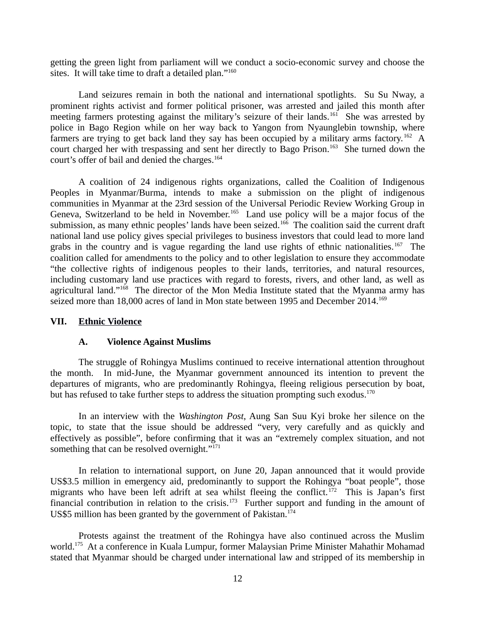getting the green light from parliament will we conduct a socio-economic survey and choose the sites. It will take time to draft a detailed plan."<sup>160</sup>

Land seizures remain in both the national and international spotlights. Su Su Nway, a prominent rights activist and former political prisoner, was arrested and jailed this month after meeting farmers protesting against the military's seizure of their lands.<sup>161</sup> She was arrested by police in Bago Region while on her way back to Yangon from Nyaunglebin township, where farmers are trying to get back land they say has been occupied by a military arms factory.<sup>162</sup> A court charged her with trespassing and sent her directly to Bago Prison.<sup>163</sup> She turned down the court's offer of bail and denied the charges.<sup>164</sup>

A coalition of 24 indigenous rights organizations, called the Coalition of Indigenous Peoples in Myanmar/Burma, intends to make a submission on the plight of indigenous communities in Myanmar at the 23rd session of the Universal Periodic Review Working Group in Geneva, Switzerland to be held in November.<sup>165</sup> Land use policy will be a major focus of the submission, as many ethnic peoples' lands have been seized.<sup>166</sup> The coalition said the current draft national land use policy gives special privileges to business investors that could lead to more land grabs in the country and is vague regarding the land use rights of ethnic nationalities.<sup>167</sup> The coalition called for amendments to the policy and to other legislation to ensure they accommodate "the collective rights of indigenous peoples to their lands, territories, and natural resources, including customary land use practices with regard to forests, rivers, and other land, as well as agricultural land."<sup>168</sup> The director of the Mon Media Institute stated that the Myanma army has seized more than 18,000 acres of land in Mon state between 1995 and December 2014.<sup>169</sup>

### **VII. Ethnic Violence**

#### <span id="page-11-1"></span><span id="page-11-0"></span>**A. Violence Against Muslims**

The struggle of Rohingya Muslims continued to receive international attention throughout the month. In mid-June, the Myanmar government announced its intention to prevent the departures of migrants, who are predominantly Rohingya, fleeing religious persecution by boat, but has refused to take further steps to address the situation prompting such exodus.<sup>170</sup>

In an interview with the *Washington Post*, Aung San Suu Kyi broke her silence on the topic, to state that the issue should be addressed "very, very carefully and as quickly and effectively as possible", before confirming that it was an "extremely complex situation, and not something that can be resolved overnight."<sup>171</sup>

In relation to international support, on June 20, Japan announced that it would provide US\$3.5 million in emergency aid, predominantly to support the Rohingya "boat people", those migrants who have been left adrift at sea whilst fleeing the conflict.<sup>172</sup> This is Japan's first financial contribution in relation to the crisis.<sup>173</sup> Further support and funding in the amount of US\$5 million has been granted by the government of Pakistan.<sup>174</sup>

Protests against the treatment of the Rohingya have also continued across the Muslim world.<sup>175</sup> At a conference in Kuala Lumpur, former Malaysian Prime Minister Mahathir Mohamad stated that Myanmar should be charged under international law and stripped of its membership in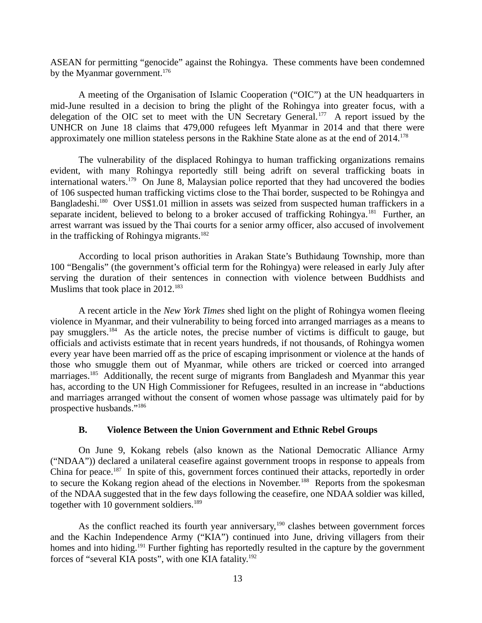ASEAN for permitting "genocide" against the Rohingya. These comments have been condemned by the Myanmar government. $176$ 

A meeting of the Organisation of Islamic Cooperation ("OIC") at the UN headquarters in mid-June resulted in a decision to bring the plight of the Rohingya into greater focus, with a delegation of the OIC set to meet with the UN Secretary General.<sup>177</sup> A report issued by the UNHCR on June 18 claims that 479,000 refugees left Myanmar in 2014 and that there were approximately one million stateless persons in the Rakhine State alone as at the end of 2014.<sup>178</sup>

The vulnerability of the displaced Rohingya to human trafficking organizations remains evident, with many Rohingya reportedly still being adrift on several trafficking boats in international waters.<sup>179</sup> On June 8, Malaysian police reported that they had uncovered the bodies of 106 suspected human trafficking victims close to the Thai border, suspected to be Rohingya and Bangladeshi.<sup>180</sup> Over US\$1.01 million in assets was seized from suspected human traffickers in a separate incident, believed to belong to a broker accused of trafficking Rohingya.<sup>181</sup> Further, an arrest warrant was issued by the Thai courts for a senior army officer, also accused of involvement in the trafficking of Rohingya migrants. $182$ 

According to local prison authorities in Arakan State's Buthidaung Township, more than 100 "Bengalis" (the government's official term for the Rohingya) were released in early July after serving the duration of their sentences in connection with violence between Buddhists and Muslims that took place in 2012.<sup>183</sup>

A recent article in the *New York Times* shed light on the plight of Rohingya women fleeing violence in Myanmar, and their vulnerability to being forced into arranged marriages as a means to pay smugglers.<sup>184</sup> As the article notes, the precise number of victims is difficult to gauge, but officials and activists estimate that in recent years hundreds, if not thousands, of Rohingya women every year have been married off as the price of escaping imprisonment or violence at the hands of those who smuggle them out of Myanmar, while others are tricked or coerced into arranged marriages.<sup>185</sup> Additionally, the recent surge of migrants from Bangladesh and Myanmar this year has, according to the UN High Commissioner for Refugees, resulted in an increase in "abductions and marriages arranged without the consent of women whose passage was ultimately paid for by prospective husbands."<sup>186</sup>

#### <span id="page-12-0"></span>**B. Violence Between the Union Government and Ethnic Rebel Groups**

On June 9, Kokang rebels (also known as the National Democratic Alliance Army ("NDAA")) declared a unilateral ceasefire against government troops in response to appeals from China for peace.<sup>187</sup> In spite of this, government forces continued their attacks, reportedly in order to secure the Kokang region ahead of the elections in November.<sup>188</sup> Reports from the spokesman of the NDAA suggested that in the few days following the ceasefire, one NDAA soldier was killed, together with 10 government soldiers.<sup>189</sup>

As the conflict reached its fourth year anniversary,<sup>190</sup> clashes between government forces and the Kachin Independence Army ("KIA") continued into June, driving villagers from their homes and into hiding.<sup>191</sup> Further fighting has reportedly resulted in the capture by the government forces of "several KIA posts", with one KIA fatality.<sup>192</sup>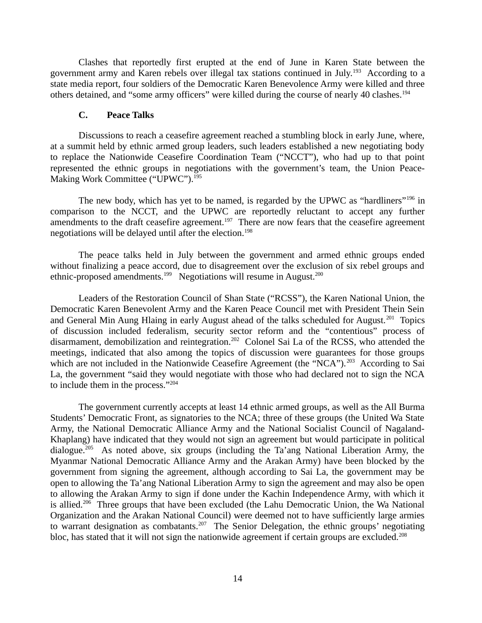Clashes that reportedly first erupted at the end of June in Karen State between the government army and Karen rebels over illegal tax stations continued in July.<sup>193</sup> According to a state media report, four soldiers of the Democratic Karen Benevolence Army were killed and three others detained, and "some army officers" were killed during the course of nearly 40 clashes.<sup>194</sup>

#### <span id="page-13-0"></span>**C. Peace Talks**

Discussions to reach a ceasefire agreement reached a stumbling block in early June, where, at a summit held by ethnic armed group leaders, such leaders established a new negotiating body to replace the Nationwide Ceasefire Coordination Team ("NCCT"), who had up to that point represented the ethnic groups in negotiations with the government's team, the Union Peace-Making Work Committee ("UPWC").<sup>195</sup>

The new body, which has yet to be named, is regarded by the UPWC as "hardliners"<sup>196</sup> in comparison to the NCCT, and the UPWC are reportedly reluctant to accept any further amendments to the draft ceasefire agreement.<sup>197</sup> There are now fears that the ceasefire agreement negotiations will be delayed until after the election.<sup>198</sup>

The peace talks held in July between the government and armed ethnic groups ended without finalizing a peace accord, due to disagreement over the exclusion of six rebel groups and ethnic-proposed amendments.<sup>199</sup> Negotiations will resume in August.<sup>200</sup>

Leaders of the Restoration Council of Shan State ("RCSS"), the Karen National Union, the Democratic Karen Benevolent Army and the Karen Peace Council met with President Thein Sein and General Min Aung Hlaing in early August ahead of the talks scheduled for August.<sup>201</sup> Topics of discussion included federalism, security sector reform and the "contentious" process of disarmament, demobilization and reintegration.<sup>202</sup> Colonel Sai La of the RCSS, who attended the meetings, indicated that also among the topics of discussion were guarantees for those groups which are not included in the Nationwide Ceasefire Agreement (the "NCA").<sup>203</sup> According to Sai La, the government "said they would negotiate with those who had declared not to sign the NCA to include them in the process."<sup>204</sup>

The government currently accepts at least 14 ethnic armed groups, as well as the All Burma Students' Democratic Front, as signatories to the NCA; three of these groups (the United Wa State Army, the National Democratic Alliance Army and the National Socialist Council of Nagaland-Khaplang) have indicated that they would not sign an agreement but would participate in political dialogue.<sup>205</sup> As noted above, six groups (including the Ta'ang National Liberation Army, the Myanmar National Democratic Alliance Army and the Arakan Army) have been blocked by the government from signing the agreement, although according to Sai La, the government may be open to allowing the Ta'ang National Liberation Army to sign the agreement and may also be open to allowing the Arakan Army to sign if done under the Kachin Independence Army, with which it is allied.<sup>206</sup> Three groups that have been excluded (the Lahu Democratic Union, the Wa National Organization and the Arakan National Council) were deemed not to have sufficiently large armies to warrant designation as combatants.<sup>207</sup> The Senior Delegation, the ethnic groups' negotiating bloc, has stated that it will not sign the nationwide agreement if certain groups are excluded.<sup>208</sup>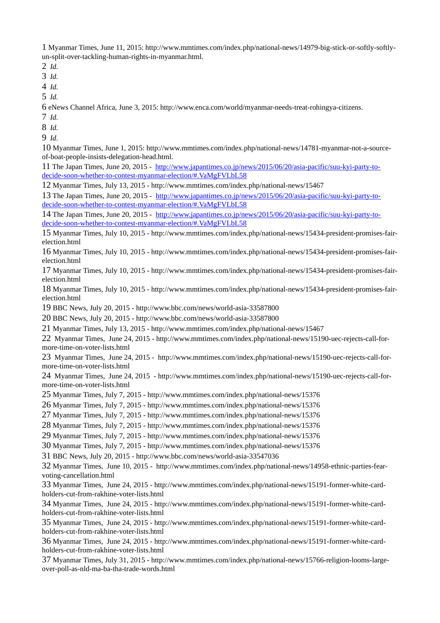Myanmar Times, June 11, 2015: http://www.mmtimes.com/index.php/national-news/14979-big-stick-or-softly-softlyun-split-over-tackling-human-rights-in-myanmar.html.

*Id.*

*Id.*

*Id.*

*Id.*

eNews Channel Africa, June 3, 2015: http://www.enca.com/world/myanmar-needs-treat-rohingya-citizens.

*Id.*

*Id.*

*Id.*

 Myanmar Times, June 1, 2015: http://www.mmtimes.com/index.php/national-news/14781-myanmar-not-a-sourceof-boat-people-insists-delegation-head.html.

 The Japan Times, June 20, 2015 - [http://www.japantimes.co.jp/news/2015/06/20/asia-pacific/suu-kyi-party-to](http://www.japantimes.co.jp/news/2015/06/20/asia-pacific/suu-kyi-party-to-decide-soon-whether-to-contest-myanmar-election/#.VaMgFVLbL58)[decide-soon-whether-to-contest-myanmar-election/#.VaMgFVLbL58](http://www.japantimes.co.jp/news/2015/06/20/asia-pacific/suu-kyi-party-to-decide-soon-whether-to-contest-myanmar-election/#.VaMgFVLbL58)

Myanmar Times, July 13, 2015 - http://www.mmtimes.com/index.php/national-news/15467

 The Japan Times, June 20, 2015 - [http://www.japantimes.co.jp/news/2015/06/20/asia-pacific/suu-kyi-party-to](http://www.japantimes.co.jp/news/2015/06/20/asia-pacific/suu-kyi-party-to-decide-soon-whether-to-contest-myanmar-election/#.VaMgFVLbL58)[decide-soon-whether-to-contest-myanmar-election/#.VaMgFVLbL58](http://www.japantimes.co.jp/news/2015/06/20/asia-pacific/suu-kyi-party-to-decide-soon-whether-to-contest-myanmar-election/#.VaMgFVLbL58)

 The Japan Times, June 20, 2015 - [http://www.japantimes.co.jp/news/2015/06/20/asia-pacific/suu-kyi-party-to](http://www.japantimes.co.jp/news/2015/06/20/asia-pacific/suu-kyi-party-to-decide-soon-whether-to-contest-myanmar-election/#.VaMgFVLbL58)[decide-soon-whether-to-contest-myanmar-election/#.VaMgFVLbL58](http://www.japantimes.co.jp/news/2015/06/20/asia-pacific/suu-kyi-party-to-decide-soon-whether-to-contest-myanmar-election/#.VaMgFVLbL58)

 Myanmar Times, July 10, 2015 - http://www.mmtimes.com/index.php/national-news/15434-president-promises-fairelection.html

 Myanmar Times, July 10, 2015 - http://www.mmtimes.com/index.php/national-news/15434-president-promises-fairelection.html

 Myanmar Times, July 10, 2015 - http://www.mmtimes.com/index.php/national-news/15434-president-promises-fairelection.html

 Myanmar Times, July 10, 2015 - http://www.mmtimes.com/index.php/national-news/15434-president-promises-fairelection.html

BBC News, July 20, 2015 - http://www.bbc.com/news/world-asia-33587800

BBC News, July 20, 2015 - http://www.bbc.com/news/world-asia-33587800

Myanmar Times, July 13, 2015 - http://www.mmtimes.com/index.php/national-news/15467

 Myanmar Times, June 24, 2015 - http://www.mmtimes.com/index.php/national-news/15190-uec-rejects-call-formore-time-on-voter-lists.html

 Myanmar Times, June 24, 2015 - http://www.mmtimes.com/index.php/national-news/15190-uec-rejects-call-formore-time-on-voter-lists.html

 Myanmar Times, June 24, 2015 - http://www.mmtimes.com/index.php/national-news/15190-uec-rejects-call-formore-time-on-voter-lists.html

Myanmar Times, July 7, 2015 - http://www.mmtimes.com/index.php/national-news/15376

Myanmar Times, July 7, 2015 - http://www.mmtimes.com/index.php/national-news/15376

Myanmar Times, July 7, 2015 - http://www.mmtimes.com/index.php/national-news/15376

Myanmar Times, July 7, 2015 - http://www.mmtimes.com/index.php/national-news/15376

Myanmar Times, July 7, 2015 - http://www.mmtimes.com/index.php/national-news/15376

Myanmar Times, July 7, 2015 - http://www.mmtimes.com/index.php/national-news/15376

BBC News, July 20, 2015 - http://www.bbc.com/news/world-asia-33547036

 Myanmar Times, June 10, 2015 - http://www.mmtimes.com/index.php/national-news/14958-ethnic-parties-fearvoting-cancellation.html

 Myanmar Times, June 24, 2015 - http://www.mmtimes.com/index.php/national-news/15191-former-white-cardholders-cut-from-rakhine-voter-lists.html

 Myanmar Times, June 24, 2015 - http://www.mmtimes.com/index.php/national-news/15191-former-white-cardholders-cut-from-rakhine-voter-lists.html

 Myanmar Times, June 24, 2015 - http://www.mmtimes.com/index.php/national-news/15191-former-white-cardholders-cut-from-rakhine-voter-lists.html

 Myanmar Times, June 24, 2015 - http://www.mmtimes.com/index.php/national-news/15191-former-white-cardholders-cut-from-rakhine-voter-lists.html

 Myanmar Times, July 31, 2015 - http://www.mmtimes.com/index.php/national-news/15766-religion-looms-largeover-poll-as-nld-ma-ba-tha-trade-words.html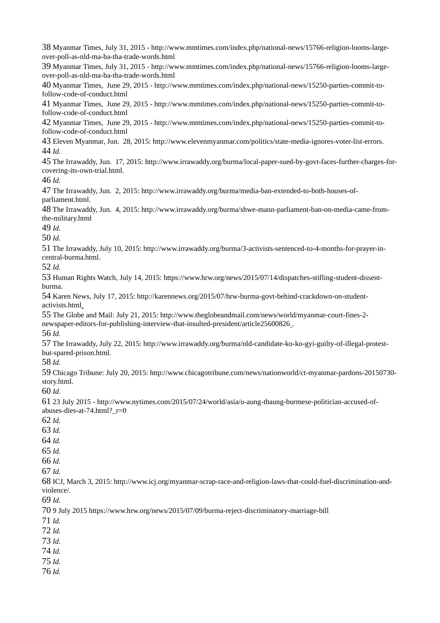Myanmar Times, July 31, 2015 - http://www.mmtimes.com/index.php/national-news/15766-religion-looms-largeover-poll-as-nld-ma-ba-tha-trade-words.html Myanmar Times, July 31, 2015 - http://www.mmtimes.com/index.php/national-news/15766-religion-looms-largeover-poll-as-nld-ma-ba-tha-trade-words.html Myanmar Times, June 29, 2015 - http://www.mmtimes.com/index.php/national-news/15250-parties-commit-tofollow-code-of-conduct.html Myanmar Times, June 29, 2015 - http://www.mmtimes.com/index.php/national-news/15250-parties-commit-tofollow-code-of-conduct.html Myanmar Times, June 29, 2015 - http://www.mmtimes.com/index.php/national-news/15250-parties-commit-tofollow-code-of-conduct.html Eleven Myanmar, Jun. 28, 2015: http://www.elevenmyanmar.com/politics/state-media-ignores-voter-list-errors. *Id.*  The Irrawaddy, Jun. 17, 2015: http://www.irrawaddy.org/burma/local-paper-sued-by-govt-faces-further-charges-forcovering-its-own-trial.html. *Id.*  The Irrawaddy, Jun. 2, 2015: http://www.irrawaddy.org/burma/media-ban-extended-to-both-houses-ofparliament.html. The Irrawaddy, Jun. 4, 2015: http://www.irrawaddy.org/burma/shwe-mann-parliament-ban-on-media-came-fromthe-military.html *Id. Id.*  The Irrawaddy, July 10, 2015: http://www.irrawaddy.org/burma/3-activists-sentenced-to-4-months-for-prayer-incentral-burma.html. *Id.* Human Rights Watch, July 14, 2015: https://www.hrw.org/news/2015/07/14/dispatches-stifling-student-dissentburma. Karen News, July 17, 2015: http://karennews.org/2015/07/hrw-burma-govt-behind-crackdown-on-studentactivists.html The Globe and Mail: July 21, 2015: http://www.theglobeandmail.com/news/world/myanmar-court-fines-2 newspaper-editors-for-publishing-interview-that-insulted-president/article25600826 . *Id.*  The Irrawaddy, July 22, 2015: http://www.irrawaddy.org/burma/nld-candidate-ko-ko-gyi-guilty-of-illegal-protestbut-spared-prison.html. *Id.*  Chicago Tribune: July 20, 2015: http://www.chicagotribune.com/news/nationworld/ct-myanmar-pardons-20150730 story.html. *Id.*  23 July 2015 - http://www.nytimes.com/2015/07/24/world/asia/u-aung-thaung-burmese-politician-accused-ofabuses-dies-at-74.html?\_r=0 *Id. Id. Id. Id. Id. Id.*  ICJ, March 3, 2015: http://www.icj.org/myanmar-scrap-race-and-religion-laws-that-could-fuel-discrimination-andviolence/. *Id.* 9 July 2015 https://www.hrw.org/news/2015/07/09/burma-reject-discriminatory-marriage-bill *Id. Id. Id. Id. Id. Id.*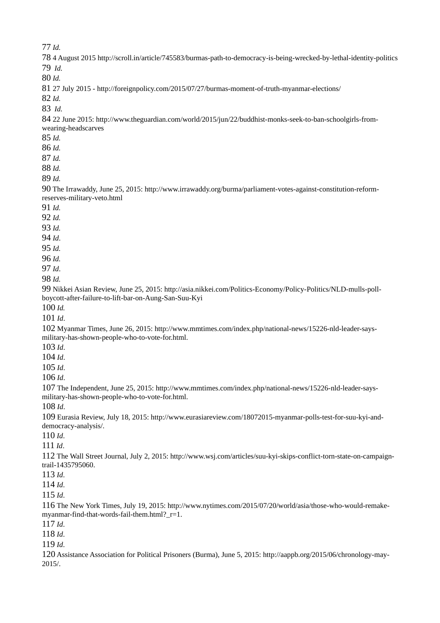*Id.*

 4 August 2015 http://scroll.in/article/745583/burmas-path-to-democracy-is-being-wrecked-by-lethal-identity-politics *Id. Id.* 27 July 2015 - http://foreignpolicy.com/2015/07/27/burmas-moment-of-truth-myanmar-elections/ *Id. Id.* 22 June 2015: http://www.theguardian.com/world/2015/jun/22/buddhist-monks-seek-to-ban-schoolgirls-fromwearing-headscarves *Id. Id. Id. Id. Id.*  The Irrawaddy, June 25, 2015: http://www.irrawaddy.org/burma/parliament-votes-against-constitution-reformreserves-military-veto.html *Id. Id. Id. Id*. *Id. Id. Id*. *Id.* Nikkei Asian Review, June 25, 2015: http://asia.nikkei.com/Politics-Economy/Policy-Politics/NLD-mulls-pollboycott-after-failure-to-lift-bar-on-Aung-San-Suu-Kyi *Id. Id*. Myanmar Times, June 26, 2015: http://www.mmtimes.com/index.php/national-news/15226-nld-leader-saysmilitary-has-shown-people-who-to-vote-for.html. *Id*. *Id*. *Id*. *Id*. The Independent, June 25, 2015: http://www.mmtimes.com/index.php/national-news/15226-nld-leader-saysmilitary-has-shown-people-who-to-vote-for.html. *Id*. Eurasia Review, July 18, 2015: http://www.eurasiareview.com/18072015-myanmar-polls-test-for-suu-kyi-anddemocracy-analysis/. *Id*. *Id*. The Wall Street Journal, July 2, 2015: http://www.wsj.com/articles/suu-kyi-skips-conflict-torn-state-on-campaigntrail-1435795060. *Id*. *Id*. *Id*. The New York Times, July 19, 2015: http://www.nytimes.com/2015/07/20/world/asia/those-who-would-remakemyanmar-find-that-words-fail-them.html? r=1. *Id*. *Id*. *Id*. Assistance Association for Political Prisoners (Burma), June 5, 2015: http://aappb.org/2015/06/chronology-may-2015/.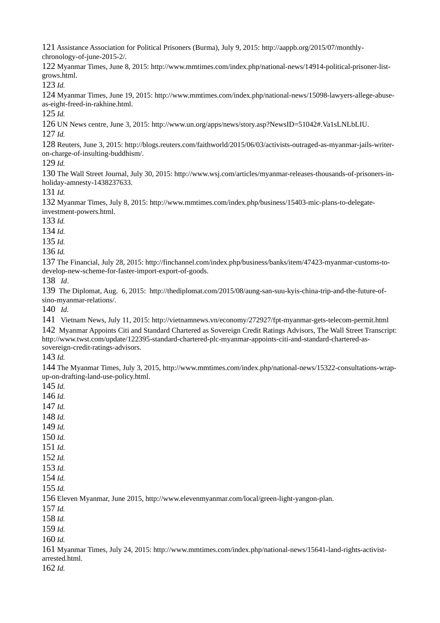Assistance Association for Political Prisoners (Burma), July 9, 2015: http://aappb.org/2015/07/monthlychronology-of-june-2015-2/.

 Myanmar Times, June 8, 2015: http://www.mmtimes.com/index.php/national-news/14914-political-prisoner-listgrows.html.

*Id.*

 Myanmar Times, June 19, 2015: http://www.mmtimes.com/index.php/national-news/15098-lawyers-allege-abuseas-eight-freed-in-rakhine.html.

*Id.*

UN News centre, June 3, 2015: http://www.un.org/apps/news/story.asp?NewsID=51042#.Va1sLNLbLIU.

*Id.*

 Reuters, June 3, 2015: http://blogs.reuters.com/faithworld/2015/06/03/activists-outraged-as-myanmar-jails-writeron-charge-of-insulting-buddhism/.

*Id.*

 The Wall Street Journal, July 30, 2015: http://www.wsj.com/articles/myanmar-releases-thousands-of-prisoners-inholiday-amnesty-1438237633.

*Id.*

 Myanmar Times, July 8, 2015: http://www.mmtimes.com/index.php/business/15403-mic-plans-to-delegateinvestment-powers.html.

*Id.* 

*Id.*

*Id.* 

*Id.*

 The Financial, July 28, 2015: http://finchannel.com/index.php/business/banks/item/47423-myanmar-customs-todevelop-new-scheme-for-faster-import-export-of-goods.

*Id*.

 The Diplomat, Aug. 6, 2015: http://thediplomat.com/2015/08/aung-san-suu-kyis-china-trip-and-the-future-ofsino-myanmar-relations/.

*Id.* 

Vietnam News, July 11, 2015: http://vietnamnews.vn/economy/272927/fpt-myanmar-gets-telecom-permit.html

 Myanmar Appoints Citi and Standard Chartered as Sovereign Credit Ratings Advisors, The Wall Street Transcript: http://www.twst.com/update/122395-standard-chartered-plc-myanmar-appoints-citi-and-standard-chartered-assovereign-credit-ratings-advisors.

*Id.* 

 The Myanmar Times, July 3, 2015, http://www.mmtimes.com/index.php/national-news/15322-consultations-wrapup-on-drafting-land-use-policy.html.

*Id.*

*Id.*

*Id.*

*Id.*

*Id.*

*Id.*

*Id.*

*Id.*

*Id.*

 *Id. Id.*

Eleven Myanmar, June 2015, http://www.elevenmyanmar.com/local/green-light-yangon-plan.

*Id.*

*Id.*

*Id.*

*Id.*

 Myanmar Times, July 24, 2015: http://www.mmtimes.com/index.php/national-news/15641-land-rights-activistarrested.html.

*Id.*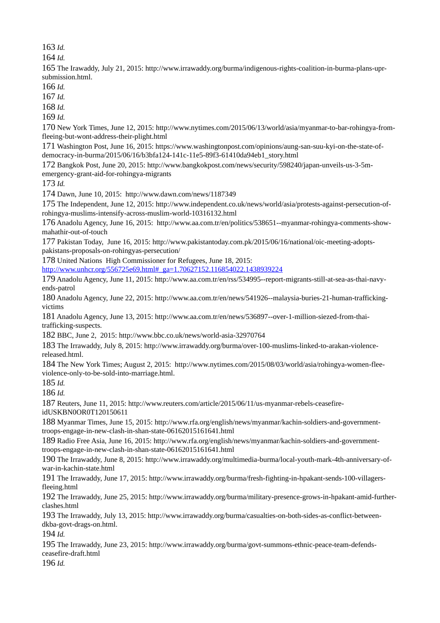*Id.*

*Id.*

 The Irawaddy, July 21, 2015: http://www.irrawaddy.org/burma/indigenous-rights-coalition-in-burma-plans-uprsubmission.html.

*Id.*

*Id.*

*Id.*

*Id.*

 New York Times, June 12, 2015: http://www.nytimes.com/2015/06/13/world/asia/myanmar-to-bar-rohingya-fromfleeing-but-wont-address-their-plight.html

 Washington Post, June 16, 2015: https://www.washingtonpost.com/opinions/aung-san-suu-kyi-on-the-state-ofdemocracy-in-burma/2015/06/16/b3bfa124-141c-11e5-89f3-61410da94eb1\_story.html

 Bangkok Post, June 20, 2015: http://www.bangkokpost.com/news/security/598240/japan-unveils-us-3-5memergency-grant-aid-for-rohingya-migrants

*Id.* 

Dawn, June 10, 2015: http://www.dawn.com/news/1187349

 The Independent, June 12, 2015: http://www.independent.co.uk/news/world/asia/protests-against-persecution-ofrohingya-muslims-intensify-across-muslim-world-10316132.html

 Anadolu Agency, June 16, 2015: http://www.aa.com.tr/en/politics/538651--myanmar-rohingya-comments-showmahathir-out-of-touch

 Pakistan Today, June 16, 2015: http://www.pakistantoday.com.pk/2015/06/16/national/oic-meeting-adoptspakistans-proposals-on-rohingyas-persecution/

United Nations High Commissioner for Refugees, June 18, 2015:

[http://www.unhcr.org/556725e69.html#\\_ga=1.70627152.116854022.1438939224](http://www.unhcr.org/556725e69.html#_ga=1.70627152.116854022.1438939224)

 Anadolu Agency, June 11, 2015: http://www.aa.com.tr/en/rss/534995--report-migrants-still-at-sea-as-thai-navyends-patrol

 Anadolu Agency, June 22, 2015: http://www.aa.com.tr/en/news/541926--malaysia-buries-21-human-traffickingvictims

 Anadolu Agency, June 13, 2015: http://www.aa.com.tr/en/news/536897--over-1-million-siezed-from-thaitrafficking-suspects.

BBC, June 2, 2015: http://www.bbc.co.uk/news/world-asia-32970764

 The Irrawaddy, July 8, 2015: http://www.irrawaddy.org/burma/over-100-muslims-linked-to-arakan-violencereleased.html.

 The New York Times; August 2, 2015: http://www.nytimes.com/2015/08/03/world/asia/rohingya-women-fleeviolence-only-to-be-sold-into-marriage.html.

*Id.*

*Id.*

 Reuters, June 11, 2015: http://www.reuters.com/article/2015/06/11/us-myanmar-rebels-ceasefireidUSKBN0OR0T120150611

 Myanmar Times, June 15, 2015: http://www.rfa.org/english/news/myanmar/kachin-soldiers-and-governmenttroops-engage-in-new-clash-in-shan-state-06162015161641.html

 Radio Free Asia, June 16, 2015: http://www.rfa.org/english/news/myanmar/kachin-soldiers-and-governmenttroops-engage-in-new-clash-in-shan-state-06162015161641.html

 The Irrawaddy, June 8, 2015: http://www.irrawaddy.org/multimedia-burma/local-youth-mark-4th-anniversary-ofwar-in-kachin-state.html

 The Irrawaddy, June 17, 2015: http://www.irrawaddy.org/burma/fresh-fighting-in-hpakant-sends-100-villagersfleeing.html

 The Irrawaddy, June 25, 2015: http://www.irrawaddy.org/burma/military-presence-grows-in-hpakant-amid-furtherclashes.html

 The Irrawaddy, July 13, 2015: http://www.irrawaddy.org/burma/casualties-on-both-sides-as-conflict-betweendkba-govt-drags-on.html.

*Id.*

 The Irrawaddy, June 23, 2015: http://www.irrawaddy.org/burma/govt-summons-ethnic-peace-team-defendsceasefire-draft.html

*Id.*